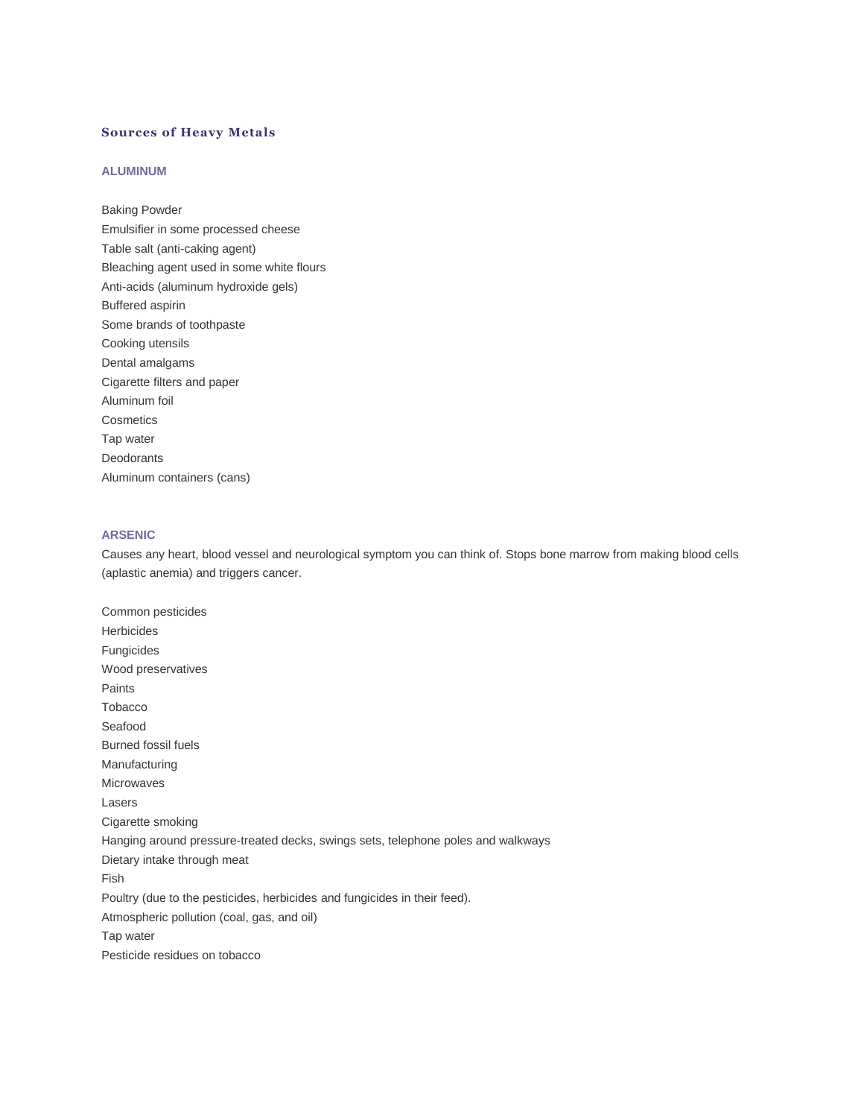# **Sources of Heavy Metals**

### **ALUMINUM**

Baking Powder Emulsifier in some processed cheese Table salt (anti-caking agent) Bleaching agent used in some white flours Anti-acids (aluminum hydroxide gels) Buffered aspirin Some brands of toothpaste Cooking utensils Dental amalgams Cigarette filters and paper Aluminum foil **Cosmetics** Tap water Deodorants Aluminum containers (cans)

# **ARSENIC**

Causes any heart, blood vessel and neurological symptom you can think of. Stops bone marrow from making blood cells (aplastic anemia) and triggers cancer.

Common pesticides Herbicides Fungicides Wood preservatives Paints Tobacco Seafood Burned fossil fuels Manufacturing Microwaves Lasers Cigarette smoking Hanging around pressure-treated decks, swings sets, telephone poles and walkways Dietary intake through meat Fish Poultry (due to the pesticides, herbicides and fungicides in their feed). Atmospheric pollution (coal, gas, and oil) Tap water Pesticide residues on tobacco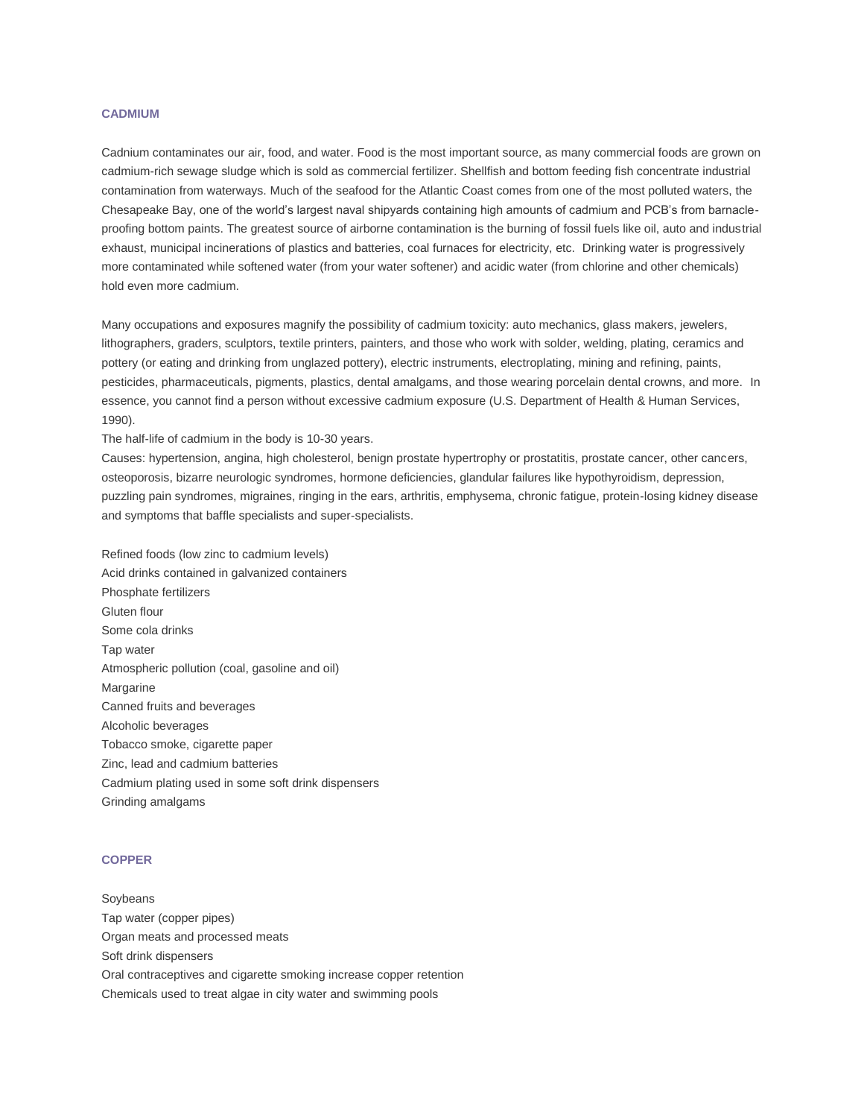### **CADMIUM**

Cadnium contaminates our air, food, and water. Food is the most important source, as many commercial foods are grown on cadmium-rich sewage sludge which is sold as commercial fertilizer. Shellfish and bottom feeding fish concentrate industrial contamination from waterways. Much of the seafood for the Atlantic Coast comes from one of the most polluted waters, the Chesapeake Bay, one of the world's largest naval shipyards containing high amounts of cadmium and PCB's from barnacleproofing bottom paints. The greatest source of airborne contamination is the burning of fossil fuels like oil, auto and industrial exhaust, municipal incinerations of plastics and batteries, coal furnaces for electricity, etc. Drinking water is progressively more contaminated while softened water (from your water softener) and acidic water (from chlorine and other chemicals) hold even more cadmium.

Many occupations and exposures magnify the possibility of cadmium toxicity: auto mechanics, glass makers, jewelers, lithographers, graders, sculptors, textile printers, painters, and those who work with solder, welding, plating, ceramics and pottery (or eating and drinking from unglazed pottery), electric instruments, electroplating, mining and refining, paints, pesticides, pharmaceuticals, pigments, plastics, dental amalgams, and those wearing porcelain dental crowns, and more. In essence, you cannot find a person without excessive cadmium exposure (U.S. Department of Health & Human Services, 1990).

The half-life of cadmium in the body is 10-30 years.

Causes: hypertension, angina, high cholesterol, benign prostate hypertrophy or prostatitis, prostate cancer, other cancers, osteoporosis, bizarre neurologic syndromes, hormone deficiencies, glandular failures like hypothyroidism, depression, puzzling pain syndromes, migraines, ringing in the ears, arthritis, emphysema, chronic fatigue, protein-losing kidney disease and symptoms that baffle specialists and super-specialists.

Refined foods (low zinc to cadmium levels) Acid drinks contained in galvanized containers Phosphate fertilizers Gluten flour Some cola drinks Tap water Atmospheric pollution (coal, gasoline and oil) Margarine Canned fruits and beverages Alcoholic beverages Tobacco smoke, cigarette paper Zinc, lead and cadmium batteries Cadmium plating used in some soft drink dispensers Grinding amalgams

### **COPPER**

Soybeans Tap water (copper pipes) Organ meats and processed meats Soft drink dispensers Oral contraceptives and cigarette smoking increase copper retention Chemicals used to treat algae in city water and swimming pools